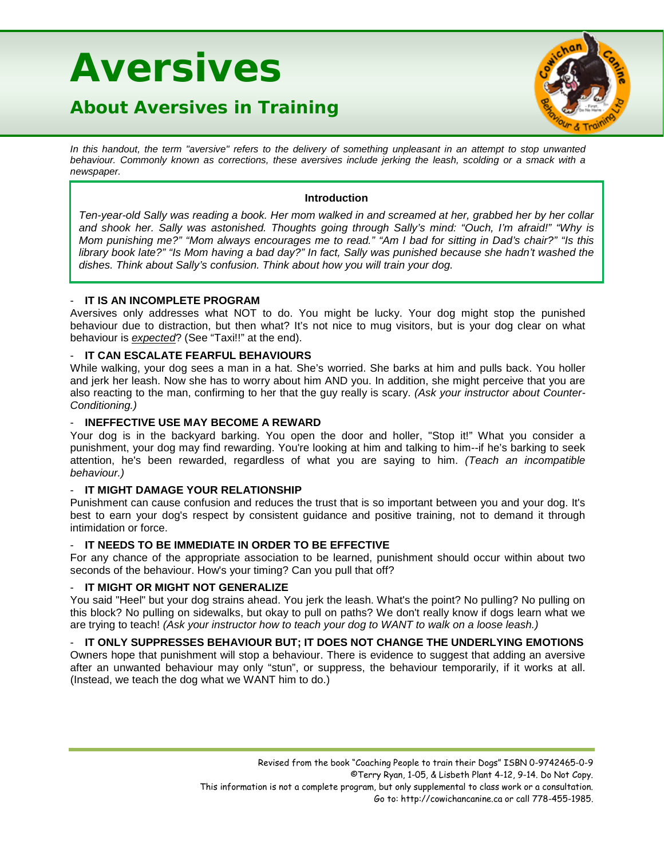# **Aversives**

# **About Aversives in Training**



In this handout, the term "aversive" refers to the delivery of something unpleasant in an attempt to stop unwanted behaviour. Commonly known as corrections, these aversives include jerking the leash, scolding or a smack with a *newspaper.*

#### **Introduction**

*Ten-year-old Sally was reading a book. Her mom walked in and screamed at her, grabbed her by her collar and shook her. Sally was astonished. Thoughts going through Sally's mind: "Ouch, I'm afraid!" "Why is Mom punishing me?" "Mom always encourages me to read." "Am I bad for sitting in Dad's chair?" "Is this library book late?" "Is Mom having a bad day?" In fact, Sally was punished because she hadn't washed the dishes. Think about Sally's confusion. Think about how you will train your dog.*

# - **IT IS AN INCOMPLETE PROGRAM**

Aversives only addresses what NOT to do. You might be lucky. Your dog might stop the punished behaviour due to distraction, but then what? It's not nice to mug visitors, but is your dog clear on what behaviour is *expected*? (See "Taxi!!" at the end).

## - **IT CAN ESCALATE FEARFUL BEHAVIOURS**

While walking, your dog sees a man in a hat. She's worried. She barks at him and pulls back. You holler and jerk her leash. Now she has to worry about him AND you. In addition, she might perceive that you are also reacting to the man, confirming to her that the guy really is scary. *(Ask your instructor about Counter-Conditioning.)*

# - **INEFFECTIVE USE MAY BECOME A REWARD**

Your dog is in the backyard barking. You open the door and holler, "Stop it!" What you consider a punishment, your dog may find rewarding. You're looking at him and talking to him--if he's barking to seek attention, he's been rewarded, regardless of what you are saying to him. *(Teach an incompatible behaviour.)*

# - **IT MIGHT DAMAGE YOUR RELATIONSHIP**

Punishment can cause confusion and reduces the trust that is so important between you and your dog. It's best to earn your dog's respect by consistent guidance and positive training, not to demand it through intimidation or force.

#### - **IT NEEDS TO BE IMMEDIATE IN ORDER TO BE EFFECTIVE**

For any chance of the appropriate association to be learned, punishment should occur within about two seconds of the behaviour. How's your timing? Can you pull that off?

#### - **IT MIGHT OR MIGHT NOT GENERALIZE**

You said "Heel" but your dog strains ahead. You jerk the leash. What's the point? No pulling? No pulling on this block? No pulling on sidewalks, but okay to pull on paths? We don't really know if dogs learn what we are trying to teach! *(Ask your instructor how to teach your dog to WANT to walk on a loose leash.)*

#### - **IT ONLY SUPPRESSES BEHAVIOUR BUT; IT DOES NOT CHANGE THE UNDERLYING EMOTIONS**

Owners hope that punishment will stop a behaviour. There is evidence to suggest that adding an aversive after an unwanted behaviour may only "stun", or suppress, the behaviour temporarily, if it works at all. (Instead, we teach the dog what we WANT him to do.)